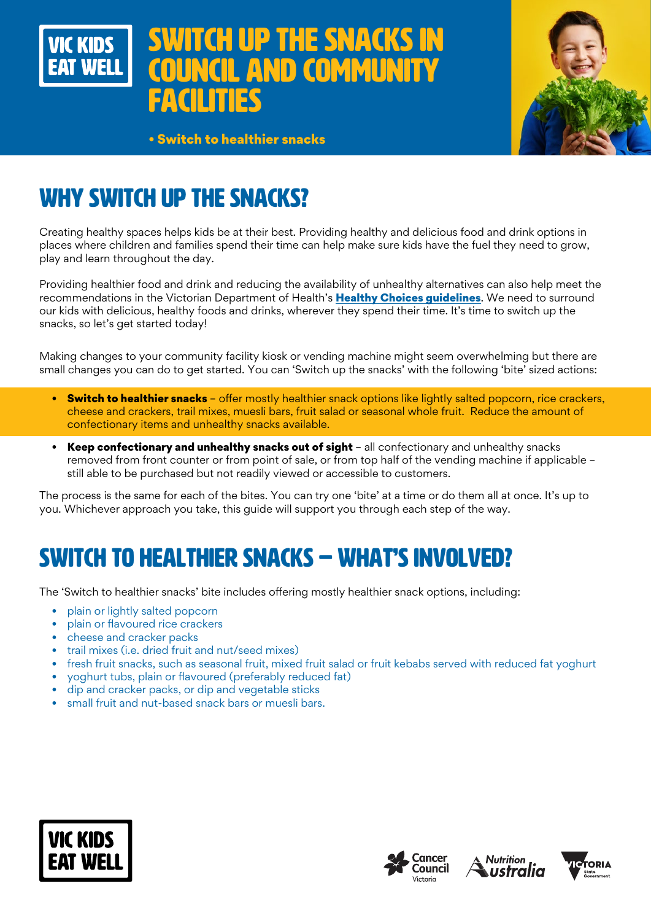# ITCH UP THE SNACKS IN **AND COMMUNITY FACILITIES**



• Switch to healthier snacks

# WHY SWITCH UP THE SNACKS?

VIC KINS

Creating healthy spaces helps kids be at their best. Providing healthy and delicious food and drink options in places where children and families spend their time can help make sure kids have the fuel they need to grow, play and learn throughout the day.

Providing healthier food and drink and reducing the availability of unhealthy alternatives can also help meet the recommendations in the Victorian Department of Health's [Healthy Choices guidelines](https://www.health.vic.gov.au/preventive-health/healthy-choices). We need to surround our kids with delicious, healthy foods and drinks, wherever they spend their time. It's time to switch up the snacks, so let's get started today!

Making changes to your community facility kiosk or vending machine might seem overwhelming but there are small changes you can do to get started. You can 'Switch up the snacks' with the following 'bite' sized actions:

- Switch to healthier snacks offer mostly healthier snack options like lightly salted popcorn, rice crackers, cheese and crackers, trail mixes, muesli bars, fruit salad or seasonal whole fruit. Reduce the amount of confectionary items and unhealthy snacks available.
- Keep confectionary and unhealthy snacks out of sight all confectionary and unhealthy snacks removed from front counter or from point of sale, or from top half of the vending machine if applicable – still able to be purchased but not readily viewed or accessible to customers.

The process is the same for each of the bites. You can try one 'bite' at a time or do them all at once. It's up to you. Whichever approach you take, this guide will support you through each step of the way.

# SWITCH TO HEALTHIER SNACKS – WHAT'S INVOLVED?

The 'Switch to healthier snacks' bite includes offering mostly healthier snack options, including:

- plain or lightly salted popcorn
- plain or flavoured rice crackers
- cheese and cracker packs
- trail mixes (i.e. dried fruit and nut/seed mixes)
- fresh fruit snacks, such as seasonal fruit, mixed fruit salad or fruit kebabs served with reduced fat yoghurt
- yoghurt tubs, plain or flavoured (preferably reduced fat)
- dip and cracker packs, or dip and vegetable sticks
- small fruit and nut-based snack bars or muesli bars.







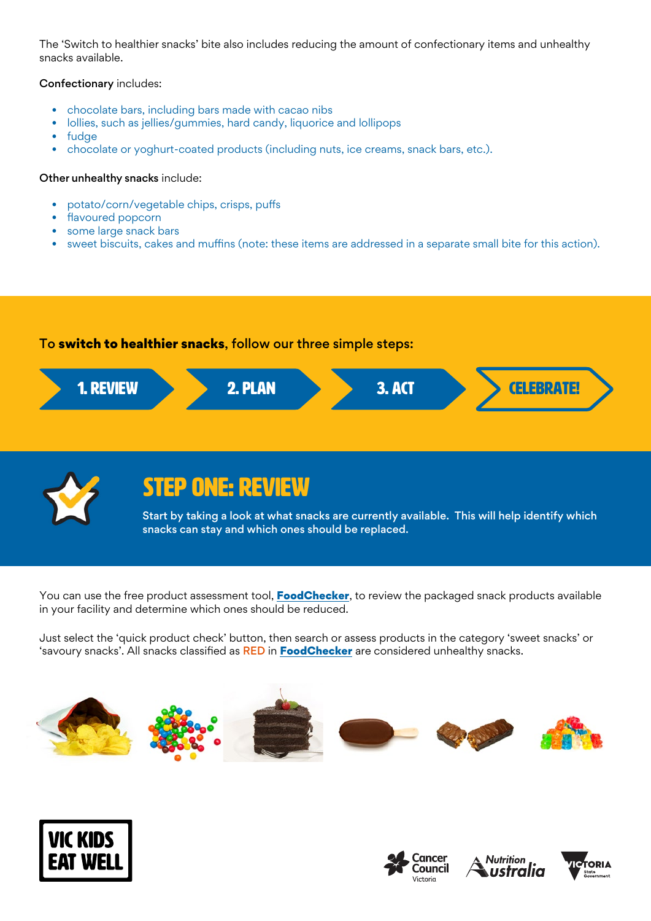The 'Switch to healthier snacks' bite also includes reducing the amount of confectionary items and unhealthy snacks available.

### Confectionary includes:

- chocolate bars, including bars made with cacao nibs
- lollies, such as jellies/gummies, hard candy, liquorice and lollipops
- fudge
- chocolate or yoghurt-coated products (including nuts, ice creams, snack bars, etc.).

### Other unhealthy snacks include:

- potato/corn/vegetable chips, crisps, puffs
- flavoured popcorn
- some large snack bars
- sweet biscuits, cakes and muffins (note: these items are addressed in a separate small bite for this action).

### To switch to healthier snacks, follow our three simple steps:





## STEP ONE: REVIEW

Start by taking a look at what snacks are currently available. This will help identify which snacks can stay and which ones should be replaced.

You can use the free product assessment tool, **[FoodChecker](https://foodchecker.heas.health.vic.gov.au/)**, to review the packaged snack products available in your facility and determine which ones should be reduced.

Just select the 'quick product check' button, then search or assess products in the category 'sweet snacks' or 'savoury snacks'. All snacks classified as RED in [FoodChecker](https://foodchecker.heas.health.vic.gov.au/) are considered unhealthy snacks.









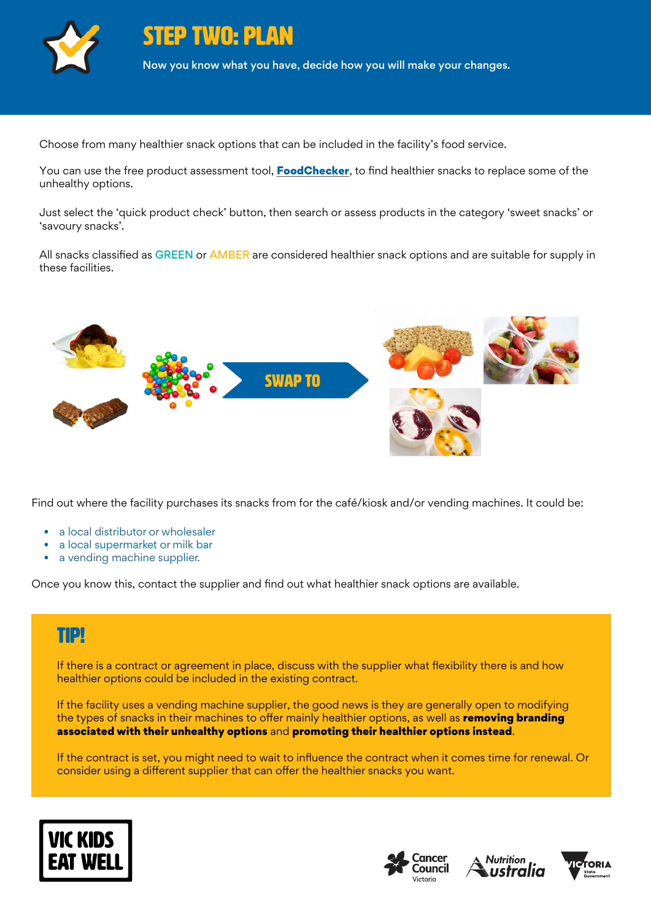

STEP TWO: PLAN

Now you know what you have, decide how you will make your changes.

Choose from many healthier snack options that can be included in the facility's food service.

You can use the free product assessment tool, **[FoodChecker](https://foodchecker.heas.health.vic.gov.au/)**, to find healthier snacks to replace some of the unhealthy options.

Just select the 'quick product check' button, then search or assess products in the category 'sweet snacks' or 'savoury snacks'.

All snacks classified as GREEN or AMBER are considered healthier snack options and are suitable for supply in these facilities.



Find out where the facility purchases its snacks from for the café/kiosk and/or vending machines. It could be:

- a local distributor or wholesaler
- a local supermarket or milk bar
- a vending machine supplier.

Once you know this, contact the supplier and find out what healthier snack options are available.

### TIP!

If there is a contract or agreement in place, discuss with the supplier what flexibility there is and how healthier options could be included in the existing contract.

If the facility uses a vending machine supplier, the good news is they are generally open to modifying the types of snacks in their machines to offer mainly healthier options, as well as removing branding associated with their unhealthy options and promoting their healthier options instead.

If the contract is set, you might need to wait to influence the contract when it comes time for renewal. Or consider using a different supplier that can offer the healthier snacks you want.







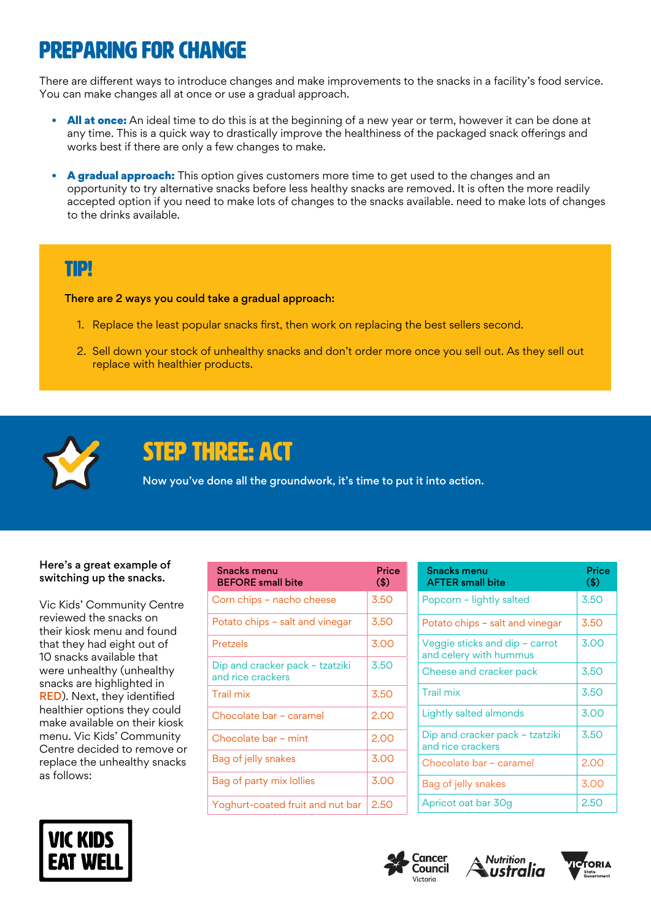## Preparing for change

There are different ways to introduce changes and make improvements to the snacks in a facility's food service. You can make changes all at once or use a gradual approach.

- All at once: An ideal time to do this is at the beginning of a new year or term, however it can be done at any time. This is a quick way to drastically improve the healthiness of the packaged snack offerings and works best if there are only a few changes to make.
- A gradual approach: This option gives customers more time to get used to the changes and an opportunity to try alternative snacks before less healthy snacks are removed. It is often the more readily accepted option if you need to make lots of changes to the snacks available. need to make lots of changes to the drinks available.

### TIP!

There are 2 ways you could take a gradual approach:

- 1. Replace the least popular snacks first, then work on replacing the best sellers second.
- 2. Sell down your stock of unhealthy snacks and don't order more once you sell out. As they sell out replace with healthier products.



## STEP THREE: ACT

Now you've done all the groundwork, it's time to put it into action.

### Here's a great example of switching up the snacks.

Vic Kids' Community Centre reviewed the snacks on their kiosk menu and found that they had eight out of 10 snacks available that were unhealthy (unhealthy snacks are highlighted in RED). Next, they identified healthier options they could make available on their kiosk menu. Vic Kids' Community Centre decided to remove or replace the unhealthy snacks as follows:



| <b>Snacks menu</b><br><b>BEFORE</b> small bite       | Price<br>(3) |
|------------------------------------------------------|--------------|
| Corn chips - nacho cheese                            | 3.50         |
| Potato chips - salt and vinegar                      | 3.50         |
| Pretzels                                             | 3.00         |
| Dip and cracker pack – tzatziki<br>and rice crackers | 3.50         |
| <b>Trail mix</b>                                     | 3.50         |
| Chocolate bar - caramel                              | 2.00         |
| Chocolate bar - mint                                 | 2.00         |
| Bag of jelly snakes                                  | 3.00         |
| Bag of party mix lollies                             | 3.00         |
| Yoghurt-coated fruit and nut bar                     | 2.50         |

| <b>Snacks menu</b><br><b>AFTER small bite</b>            | Price<br>$\left( \text{\$}\right)$ |
|----------------------------------------------------------|------------------------------------|
| Popcorn - lightly salted                                 | 3.50                               |
| Potato chips - salt and vinegar                          | 3.50                               |
| Veggie sticks and dip - carrot<br>and celery with hummus | 3.00                               |
| Cheese and cracker pack                                  | 3.50                               |
| <b>Trail mix</b>                                         | 3.50                               |
| Lightly salted almonds                                   | 3.00                               |
| Dip and cracker pack - tzatziki<br>and rice crackers     | 3.50                               |
| Chocolate bar - caramel                                  | 2.00                               |
| Bag of jelly snakes                                      | 3.00                               |
| Apricot oat bar 30g                                      | 2.50                               |





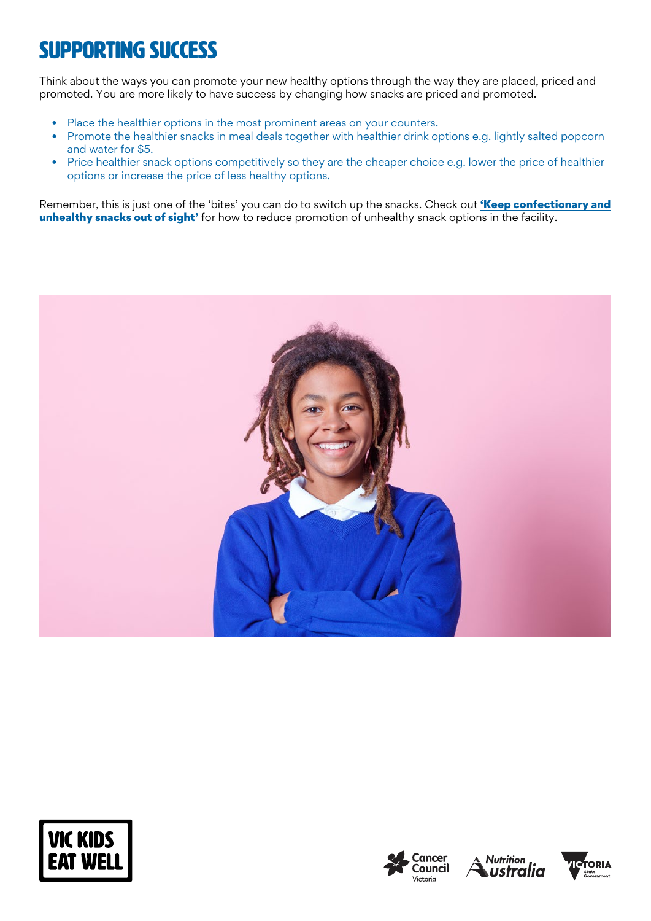# SUPPORTING SUCCESS

Think about the ways you can promote your new healthy options through the way they are placed, priced and promoted. You are more likely to have success by changing how snacks are priced and promoted.

- Place the healthier options in the most prominent areas on your counters.
- Promote the healthier snacks in meal deals together with healthier drink options e.g. lightly salted popcorn and water for \$5.
- Price healthier snack options competitively so they are the cheaper choice e.g. lower the price of healthier options or increase the price of less healthy options.

Remember, this is just one of the 'bites' you can do to switch up the snacks. Check out 'Keep confectionary and [unhealthy snacks out of sight'](https://www.vickidseatwell.health.vic.gov.au/resources) for how to reduce promotion of unhealthy snack options in the facility.